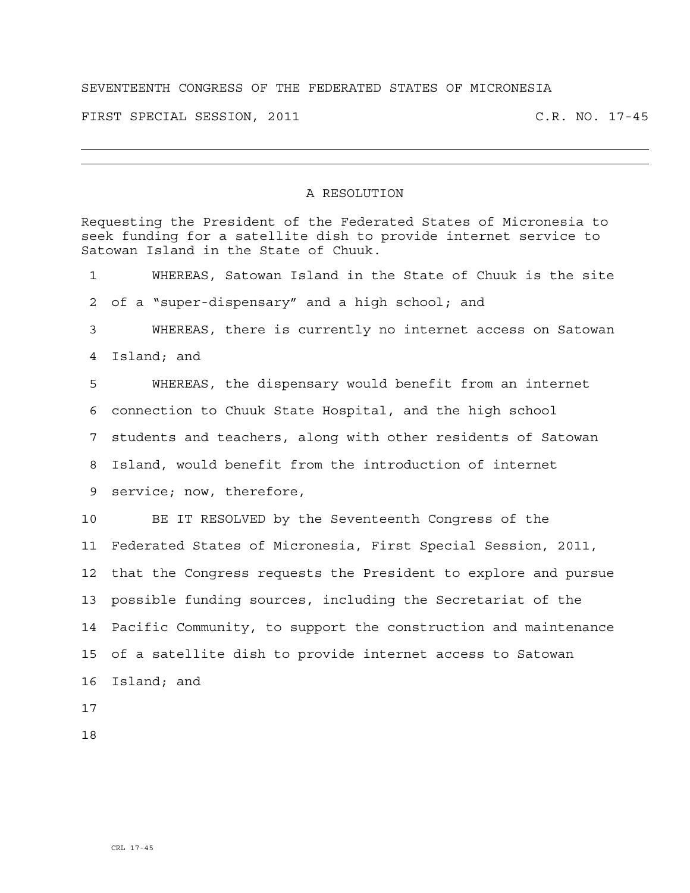## SEVENTEENTH CONGRESS OF THE FEDERATED STATES OF MICRONESIA

FIRST SPECIAL SESSION, 2011 C.R. NO. 17-45

## A RESOLUTION

Requesting the President of the Federated States of Micronesia to seek funding for a satellite dish to provide internet service to Satowan Island in the State of Chuuk. 1 WHEREAS, Satowan Island in the State of Chuuk is the site 2 of a "super-dispensary" and a high school; and 3 WHEREAS, there is currently no internet access on Satowan 4 Island; and 5 WHEREAS, the dispensary would benefit from an internet 6 connection to Chuuk State Hospital, and the high school 7 students and teachers, along with other residents of Satowan 8 Island, would benefit from the introduction of internet 9 service; now, therefore, 10 BE IT RESOLVED by the Seventeenth Congress of the 11 Federated States of Micronesia, First Special Session, 2011, 12 that the Congress requests the President to explore and pursue 13 possible funding sources, including the Secretariat of the 14 Pacific Community, to support the construction and maintenance 15 of a satellite dish to provide internet access to Satowan 16 Island; and 17

18